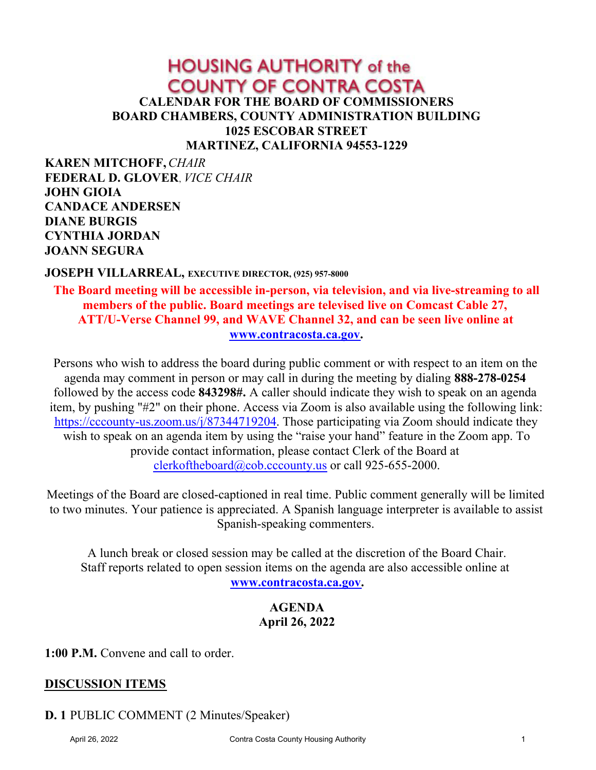# **HOUSING AUTHORITY of the COUNTY OF CONTRA COSTA CALENDAR FOR THE BOARD OF COMMISSIONERS BOARD CHAMBERS, COUNTY ADMINISTRATION BUILDING 1025 ESCOBAR STREET MARTINEZ, CALIFORNIA 94553-1229**

**KAREN MITCHOFF,***CHAIR* **FEDERAL D. GLOVER**, *VICE CHAIR* **JOHN GIOIA CANDACE ANDERSEN DIANE BURGIS CYNTHIA JORDAN JOANN SEGURA**

#### **JOSEPH VILLARREAL, EXECUTIVE DIRECTOR, (925) 957-8000**

**The Board meeting will be accessible in-person, via television, and via live-streaming to all members of the public. Board meetings are televised live on Comcast Cable 27, ATT/U-Verse Channel 99, and WAVE Channel 32, and can be seen live online at [www.contracosta.ca.gov](http://www.contracosta.ca.gov).**

Persons who wish to address the board during public comment or with respect to an item on the agenda may comment in person or may call in during the meeting by dialing **888-278-0254**  followed by the access code **843298#.** A caller should indicate they wish to speak on an agenda item, by pushing "#2" on their phone. Access via Zoom is also available using the following link: [https://cccounty-us.zoom.us/j/87344719204](https://gcc02.safelinks.protection.outlook.com/?url=https%3A%2F%2Fcccounty-us.zoom.us%2Fj%2F87344719204&data=04%7C01%7CJoellen.Bergamini%40cao.cccounty.us%7C4d9b6227de954fe4fdb808d9b8d16d66%7C76c13a07612f4e06a2f4783d69dc4cdb%7C0%7C0%7C637744031886981006%7CUnknown%7CTWFpbGZsb3d8eyJWIjoiMC4wLjAwMDAiLCJQIjoiV2luMzIiLCJBTiI6Ik1haWwiLCJXVCI6Mn0%3D%7C3000&sdata=PKdsuFsellHoX%2FaeSL%2FlrRto8FhurbtdJAV74tAjvI8%3D&reserved=0). Those participating via Zoom should indicate they wish to speak on an agenda item by using the "raise your hand" feature in the Zoom app. To provide contact information, please contact Clerk of the Board at [clerkoftheboard@cob.cccounty.us](mailto:clerkoftheboard@cob.cccounty.us) or call 925-655-2000.

Meetings of the Board are closed-captioned in real time. Public comment generally will be limited to two minutes. Your patience is appreciated. A Spanish language interpreter is available to assist Spanish-speaking commenters.

A lunch break or closed session may be called at the discretion of the Board Chair. Staff reports related to open session items on the agenda are also accessible online at **[www.contracosta.ca.gov](http://www.contracosta.ca.gov).**

### **AGENDA April 26, 2022**

**1:00 P.M.** Convene and call to order.

#### **DISCUSSION ITEMS**

### **D. 1** PUBLIC COMMENT (2 Minutes/Speaker)